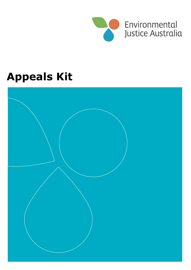

# **Appeals Kit**

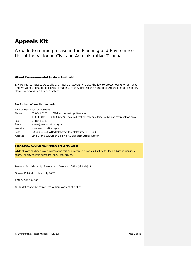# **Appeals Kit**

A guide to running a case in the Planning and Environment List of the Victorian Civil and Administrative Tribunal

#### **About Environmental Justice Australia**

Environmental Justice Australia are nature's lawyers. We use the law to protect our environment, and we work to change our laws to make sure they protect the right of all Australians to clean air, clean water and healthy ecosystems.

#### **For further information contact:**

|          | Environmental Justice Australia                                                             |  |  |
|----------|---------------------------------------------------------------------------------------------|--|--|
| Phone:   | (Melbourne metropolitan area)<br>03 8341 3100                                               |  |  |
|          | 1300 EDOVIC (1300 336842) (Local call cost for callers outside Melbourne metropolitan area) |  |  |
| Fax:     | 03 8341 3111                                                                                |  |  |
| E-mail:  | admin@envirojustice.org.au                                                                  |  |  |
| Website: | www.envirojustice.org.au                                                                    |  |  |
| Post:    | PO Box 12123, A'Beckett Street PO, Melbourne VIC 8006                                       |  |  |
| Address: | Level 3, the 60L Green Building, 60 Leicester Street, Carlton                               |  |  |

#### **SEEK LEGAL ADVICE REGARDING SPECIFIC CASES**

While all care has been taken in preparing this publication, it is not a substitute for legal advice in individual cases. For any specific questions, seek legal advice.

Produced & published by Environment Defenders Office (Victoria) Ltd

Original Publication date: July 2007

ABN 74 052 124 375

© This kit cannot be reproduced without consent of author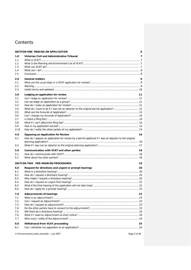## **Contents**

|               | SECTION ONE MAKING AN APPLICATION                                                                    | 6  |
|---------------|------------------------------------------------------------------------------------------------------|----|
| 1.0           | Victorian Civil and Administrative Tribunal                                                          | 7  |
| 1.1           |                                                                                                      |    |
| 1.2           |                                                                                                      |    |
| 1.3           |                                                                                                      |    |
| 1.4           |                                                                                                      |    |
| 1.5           |                                                                                                      |    |
| 2.0           | <b>General matters</b>                                                                               | 9  |
| 2.1           |                                                                                                      |    |
| $2.2^{\circ}$ |                                                                                                      |    |
| 2.3           |                                                                                                      |    |
| 3.0           | Lodging an application for review                                                                    | 11 |
| 3.1           |                                                                                                      |    |
| 3.2           |                                                                                                      |    |
| 3.3           |                                                                                                      |    |
| 3.4           |                                                                                                      |    |
| 3.5           |                                                                                                      |    |
| 3.6           |                                                                                                      |    |
| 3.7           |                                                                                                      |    |
| 3.8           |                                                                                                      |    |
| 3.9           |                                                                                                      |    |
| 3.10          |                                                                                                      |    |
| 4.0           | Opposing an Application for Review                                                                   | 16 |
| 4.1           | How do I oppose an application for review by a permit applicant if I was an objector to the original |    |
|               |                                                                                                      |    |
| 4.2           |                                                                                                      |    |
| 5.0           | Communication with VCAT and other parties                                                            | 18 |
| 5.1           |                                                                                                      |    |
| 5.2           |                                                                                                      |    |
|               | SECTION TWO PRE-HEARING PROCEDURES                                                                   | 19 |
| 6.0           | Request for directions and urgent or prompt hearings                                                 | 20 |
| 6.1           |                                                                                                      |    |
| 6.2           |                                                                                                      |    |
| 6.3           |                                                                                                      |    |
| 6.4           |                                                                                                      |    |
| 6.5           |                                                                                                      |    |
| 6.6           |                                                                                                      |    |
| 7.0           | <b>Adjournments of hearings</b>                                                                      | 23 |
| 7. 1          |                                                                                                      |    |
| 7.2           |                                                                                                      |    |
| 7.3           |                                                                                                      |    |
| 7.4           |                                                                                                      |    |
| 7.5           |                                                                                                      |    |
| 7.6           |                                                                                                      |    |
| 7. 7          |                                                                                                      |    |
| 8.0           | Withdrawal from VCAT proceeding                                                                      | 25 |
| 8.1           |                                                                                                      |    |
|               |                                                                                                      |    |

© Environmental Justice Australia – July 2007 Page 3 of 46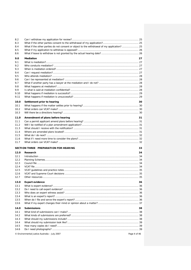| 8.3<br>What if the other parties do not consent or object to the withdrawal of my application? 25<br>8.4<br>8.5<br>8.6<br><b>Mediation</b><br>27<br>9.0<br>9.1<br>9.2<br>9.3<br>9.4<br>9.5<br>9.6<br>9.7<br>9.8<br>9.9<br>9.10<br>9.11<br>30<br>10.0<br>Settlement prior to hearing<br>10.1<br>10.2<br>10.3<br>31<br>11.0<br>Amendment of plans before hearing<br>11.1<br>11.2<br>11.3<br>11.4<br>11.5<br>11.6<br>11.7<br>SECTION THREE PREPARATION FOR HEARING<br>33<br>12.0<br>Research<br>34<br>Introduction 34<br>12.1<br>12.2<br>12.3<br>12.4<br>12.5<br>12.6<br>12.7<br>36<br>13.0<br><b>Expert evidence</b><br>13.1<br>13.2<br>13.3<br>13.4<br>13.5<br>13.6<br>14.0<br><b>Submissions</b><br>38<br>14.1<br>14.2<br>14.3<br>14.4<br>14.5<br>14.6 | 8.2 |                                                               |  |
|--------------------------------------------------------------------------------------------------------------------------------------------------------------------------------------------------------------------------------------------------------------------------------------------------------------------------------------------------------------------------------------------------------------------------------------------------------------------------------------------------------------------------------------------------------------------------------------------------------------------------------------------------------------------------------------------------------------------------------------------------------|-----|---------------------------------------------------------------|--|
|                                                                                                                                                                                                                                                                                                                                                                                                                                                                                                                                                                                                                                                                                                                                                        |     |                                                               |  |
|                                                                                                                                                                                                                                                                                                                                                                                                                                                                                                                                                                                                                                                                                                                                                        |     |                                                               |  |
|                                                                                                                                                                                                                                                                                                                                                                                                                                                                                                                                                                                                                                                                                                                                                        |     |                                                               |  |
|                                                                                                                                                                                                                                                                                                                                                                                                                                                                                                                                                                                                                                                                                                                                                        |     |                                                               |  |
|                                                                                                                                                                                                                                                                                                                                                                                                                                                                                                                                                                                                                                                                                                                                                        |     |                                                               |  |
|                                                                                                                                                                                                                                                                                                                                                                                                                                                                                                                                                                                                                                                                                                                                                        |     |                                                               |  |
|                                                                                                                                                                                                                                                                                                                                                                                                                                                                                                                                                                                                                                                                                                                                                        |     |                                                               |  |
|                                                                                                                                                                                                                                                                                                                                                                                                                                                                                                                                                                                                                                                                                                                                                        |     |                                                               |  |
|                                                                                                                                                                                                                                                                                                                                                                                                                                                                                                                                                                                                                                                                                                                                                        |     |                                                               |  |
|                                                                                                                                                                                                                                                                                                                                                                                                                                                                                                                                                                                                                                                                                                                                                        |     |                                                               |  |
|                                                                                                                                                                                                                                                                                                                                                                                                                                                                                                                                                                                                                                                                                                                                                        |     |                                                               |  |
|                                                                                                                                                                                                                                                                                                                                                                                                                                                                                                                                                                                                                                                                                                                                                        |     |                                                               |  |
|                                                                                                                                                                                                                                                                                                                                                                                                                                                                                                                                                                                                                                                                                                                                                        |     |                                                               |  |
|                                                                                                                                                                                                                                                                                                                                                                                                                                                                                                                                                                                                                                                                                                                                                        |     |                                                               |  |
|                                                                                                                                                                                                                                                                                                                                                                                                                                                                                                                                                                                                                                                                                                                                                        |     |                                                               |  |
|                                                                                                                                                                                                                                                                                                                                                                                                                                                                                                                                                                                                                                                                                                                                                        |     |                                                               |  |
|                                                                                                                                                                                                                                                                                                                                                                                                                                                                                                                                                                                                                                                                                                                                                        |     |                                                               |  |
|                                                                                                                                                                                                                                                                                                                                                                                                                                                                                                                                                                                                                                                                                                                                                        |     |                                                               |  |
|                                                                                                                                                                                                                                                                                                                                                                                                                                                                                                                                                                                                                                                                                                                                                        |     |                                                               |  |
|                                                                                                                                                                                                                                                                                                                                                                                                                                                                                                                                                                                                                                                                                                                                                        |     |                                                               |  |
|                                                                                                                                                                                                                                                                                                                                                                                                                                                                                                                                                                                                                                                                                                                                                        |     |                                                               |  |
|                                                                                                                                                                                                                                                                                                                                                                                                                                                                                                                                                                                                                                                                                                                                                        |     |                                                               |  |
|                                                                                                                                                                                                                                                                                                                                                                                                                                                                                                                                                                                                                                                                                                                                                        |     |                                                               |  |
|                                                                                                                                                                                                                                                                                                                                                                                                                                                                                                                                                                                                                                                                                                                                                        |     |                                                               |  |
|                                                                                                                                                                                                                                                                                                                                                                                                                                                                                                                                                                                                                                                                                                                                                        |     |                                                               |  |
|                                                                                                                                                                                                                                                                                                                                                                                                                                                                                                                                                                                                                                                                                                                                                        |     |                                                               |  |
|                                                                                                                                                                                                                                                                                                                                                                                                                                                                                                                                                                                                                                                                                                                                                        |     |                                                               |  |
|                                                                                                                                                                                                                                                                                                                                                                                                                                                                                                                                                                                                                                                                                                                                                        |     |                                                               |  |
|                                                                                                                                                                                                                                                                                                                                                                                                                                                                                                                                                                                                                                                                                                                                                        |     |                                                               |  |
|                                                                                                                                                                                                                                                                                                                                                                                                                                                                                                                                                                                                                                                                                                                                                        |     |                                                               |  |
|                                                                                                                                                                                                                                                                                                                                                                                                                                                                                                                                                                                                                                                                                                                                                        |     |                                                               |  |
|                                                                                                                                                                                                                                                                                                                                                                                                                                                                                                                                                                                                                                                                                                                                                        |     |                                                               |  |
|                                                                                                                                                                                                                                                                                                                                                                                                                                                                                                                                                                                                                                                                                                                                                        |     |                                                               |  |
|                                                                                                                                                                                                                                                                                                                                                                                                                                                                                                                                                                                                                                                                                                                                                        |     |                                                               |  |
|                                                                                                                                                                                                                                                                                                                                                                                                                                                                                                                                                                                                                                                                                                                                                        |     |                                                               |  |
|                                                                                                                                                                                                                                                                                                                                                                                                                                                                                                                                                                                                                                                                                                                                                        |     |                                                               |  |
|                                                                                                                                                                                                                                                                                                                                                                                                                                                                                                                                                                                                                                                                                                                                                        |     |                                                               |  |
|                                                                                                                                                                                                                                                                                                                                                                                                                                                                                                                                                                                                                                                                                                                                                        |     |                                                               |  |
|                                                                                                                                                                                                                                                                                                                                                                                                                                                                                                                                                                                                                                                                                                                                                        |     |                                                               |  |
|                                                                                                                                                                                                                                                                                                                                                                                                                                                                                                                                                                                                                                                                                                                                                        |     |                                                               |  |
|                                                                                                                                                                                                                                                                                                                                                                                                                                                                                                                                                                                                                                                                                                                                                        |     |                                                               |  |
|                                                                                                                                                                                                                                                                                                                                                                                                                                                                                                                                                                                                                                                                                                                                                        |     |                                                               |  |
|                                                                                                                                                                                                                                                                                                                                                                                                                                                                                                                                                                                                                                                                                                                                                        |     |                                                               |  |
|                                                                                                                                                                                                                                                                                                                                                                                                                                                                                                                                                                                                                                                                                                                                                        |     |                                                               |  |
|                                                                                                                                                                                                                                                                                                                                                                                                                                                                                                                                                                                                                                                                                                                                                        |     |                                                               |  |
|                                                                                                                                                                                                                                                                                                                                                                                                                                                                                                                                                                                                                                                                                                                                                        |     |                                                               |  |
|                                                                                                                                                                                                                                                                                                                                                                                                                                                                                                                                                                                                                                                                                                                                                        |     |                                                               |  |
|                                                                                                                                                                                                                                                                                                                                                                                                                                                                                                                                                                                                                                                                                                                                                        |     |                                                               |  |
|                                                                                                                                                                                                                                                                                                                                                                                                                                                                                                                                                                                                                                                                                                                                                        |     |                                                               |  |
|                                                                                                                                                                                                                                                                                                                                                                                                                                                                                                                                                                                                                                                                                                                                                        |     |                                                               |  |
|                                                                                                                                                                                                                                                                                                                                                                                                                                                                                                                                                                                                                                                                                                                                                        |     |                                                               |  |
|                                                                                                                                                                                                                                                                                                                                                                                                                                                                                                                                                                                                                                                                                                                                                        |     | © Environmental Justice Australia - July 2007<br>Page 4 of 46 |  |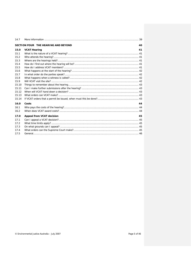| 14.7  |                                     |    |
|-------|-------------------------------------|----|
|       | SECTION FOUR THE HEARING AND BEYOND | 40 |
| 15.0  | <b>VCAT Hearing</b>                 | 41 |
| 15.1  |                                     |    |
| 15.2  |                                     |    |
| 15.3  |                                     |    |
| 154   |                                     |    |
| 15.5  |                                     |    |
| 15.6  |                                     |    |
| 15.7  |                                     |    |
| 15.8  |                                     |    |
| 15.9  |                                     |    |
| 15.10 |                                     |    |
| 15.11 |                                     |    |
| 15 12 |                                     |    |
| 15.13 |                                     |    |
| 15.14 |                                     |    |
| 16.0  | Costs                               | 44 |
| 16.1  |                                     |    |
| 16.2  |                                     |    |
| 17.0  | Appeal from VCAT decision           | 45 |
| 17.1  |                                     |    |
| 17.2  |                                     |    |
| 17.3  |                                     |    |
| 174   |                                     |    |
| 17.5  |                                     |    |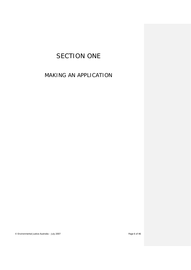# SECTION ONE

# <span id="page-5-0"></span>MAKING AN APPLICATION

© Environmental Justice Australia – July 2007 Page 6 of 46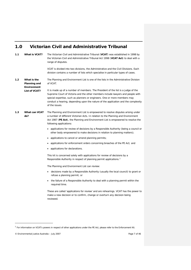## <span id="page-6-0"></span>**1.0 Victorian Civil and Administrative Tribunal**

<span id="page-6-3"></span><span id="page-6-2"></span><span id="page-6-1"></span>

| 1.1 | <b>What is VCAT?</b>                       | The Victorian Civil and Administrative Tribunal (VCAT) was established in 1998 by<br>the Victorian Civil and Administrative Tribunal Act 1998 (VCAT Act) to deal with a<br>range of disputes.<br>VCAT is divided into two divisions, the Administrative and the Civil Divisions. Each                                                                     |
|-----|--------------------------------------------|-----------------------------------------------------------------------------------------------------------------------------------------------------------------------------------------------------------------------------------------------------------------------------------------------------------------------------------------------------------|
|     |                                            | division contains a number of lists which specialise in particular types of cases.                                                                                                                                                                                                                                                                        |
| 1.2 | What is the<br>Planning and<br>Environment | The Planning and Environment List is one of the lists in the Administrative Division<br>of VCAT.                                                                                                                                                                                                                                                          |
|     | <b>List of VCAT?</b>                       | It is made up of a number of members. The President of the list is a judge of the<br>Supreme Court of Victoria and the other members include lawyers and people with<br>special expertise, such as planners or engineers. One or more members may<br>conduct a hearing, depending upon the nature of the application and the complexity<br>of the issues. |
| 1.3 | What can VCAT<br>do?                       | The Planning and Environment List is empowered to resolve disputes arising under<br>a number of different Victorian Acts. In relation to the Planning and Environment<br>Act 1987 (PE Act), the Planning and Environment List is empowered to resolve the<br>following applications:                                                                      |
|     |                                            | • applications for review of decisions by a Responsible Authority (being a council or<br>other body empowered to make decisions in relation to planning matters);                                                                                                                                                                                         |
|     |                                            | applications to cancel or amend planning permits;                                                                                                                                                                                                                                                                                                         |
|     |                                            | applications for enforcement orders concerning breaches of the PE Act; and<br>$\bullet$                                                                                                                                                                                                                                                                   |
|     |                                            | applications for declarations.                                                                                                                                                                                                                                                                                                                            |
|     |                                            | This kit is concerned solely with applications for review of decisions by a<br>Responsible Authority in respect of planning permit applications. <sup>1</sup>                                                                                                                                                                                             |
|     |                                            | The Planning and Environment List can review:                                                                                                                                                                                                                                                                                                             |
|     |                                            | decisions made by a Responsible Authority (usually the local council) to grant or<br>$\bullet$<br>refuse a planning permit; or                                                                                                                                                                                                                            |
|     |                                            | the failure of a Responsible Authority to deal with a planning permit within the<br>required time.                                                                                                                                                                                                                                                        |
|     |                                            | These are called 'applications for review' and are rehearings. VCAT has the power to<br>make a new decision or to confirm, change or overturn any decision being<br>reviewed.                                                                                                                                                                             |

j

<sup>&</sup>lt;sup>1</sup> For information on VCAT's powers in respect of other applications under the PE Act, please refer to the Enforcement Kit.

<span id="page-6-4"></span><sup>©</sup> Environmental Justice Australia – July 2007 **Page 7** of 46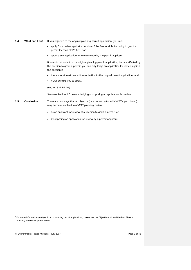- <span id="page-7-0"></span>*1.4 What can I do?* If you objected to the original planning permit application, you can:
	- apply for a review against a decision of the Responsible Authority to grant a permit (section 8[2](#page-7-2) PE Act); $^2$  or
	- oppose any application for review made by the permit applicant.

If you did not object to the original planning permit application, but are affected by the decision to grant a permit, you can only lodge an application for review against the decision if:

- there was at least one written objection to the original permit application; and
- VCAT permits you to apply.

(section 82B PE Act)

See also Section [2.0](#page-8-0) below - Lodging or opposing an application for review.

- <span id="page-7-1"></span>*1.5 Conclusion* There are two ways that an objector (or a non-objector with VCAT's permission) may become involved in a VCAT planning review:
	- as an applicant for review of a decision to grant a permit; or
	- by opposing an application for review by a permit applicant.

j

<span id="page-7-2"></span><sup>&</sup>lt;sup>2</sup> For more information on objections to planning permit applications, please see the Objections Kit and the Fact Sheet – Planning and Development series.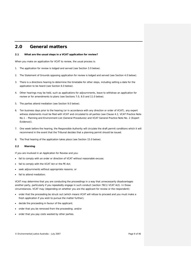#### <span id="page-8-0"></span>**2.0 General matters**

#### <span id="page-8-1"></span>*2.1 What are the usual steps in a VCAT application for review?*

When you make an application for VCAT to review, the usual process is:

- 1. The application for review is lodged and served (see Section [3.0 below\)](#page-10-0).
- 2. The Statement of Grounds opposing application for review is lodged and served (see Section [4.0 below\)](#page-15-0).
- 3. There is a directions hearing to determine the timetable for other steps, including setting a date for the application to be heard (see Section [6.0 below\)](#page-19-0).
- 4. Other hearings may be held, such as applications for adjournments, leave to withdraw an application for review or for amendments to plans (see Sections [7.0,](#page-22-0) [8.0](#page-24-0) and [11.0 below\)](#page-30-0).
- 5. The parties attend mediation (see Sectio[n 9.0 below\)](#page-26-0).
- 6. Ten business days prior to the hearing (or in accordance with any direction or order of VCAT), any expert witness statements must be filed with VCAT and circulated to all parties (see Clause 4.2, *VCAT Practice Note No.1 – Planning and Environment List (General Procedures)* and *VCAT General Practice Note No. 2 (Expert Evidence)*).
- 7. One week before the hearing, the Responsible Authority will circulate the draft permit conditions which it will recommend in the event that the Tribunal decides that a planning permit should be issued.
- 8. The final hearing of the application takes place (see Section [15.0 below\)](#page-40-0).

#### <span id="page-8-2"></span>*2.2 Warning*

If you are involved in an Application for Review and you:

- fail to comply with an order or direction of VCAT without reasonable excuse;
- fail to comply with the VCAT Act or the PE Act;
- seek adjournments without appropriate reasons; or
- fail to attend mediation;

VCAT may determine that you are conducting the proceedings in a way that unnecessarily disadvantages another party, particularly if you repeatedly engage in such conduct (section 78(1) VCAT Act). In those circumstances, VCAT may (depending on whether you are the applicant for review or the respondent):

- order that the proceeding be struck out (which means VCAT will refuse to proceed and you must make a fresh application if you wish to pursue the matter further);
- decide the proceeding in favour of the applicant;
- order that you be removed from the proceeding; and/or
- order that you pay costs wasted by other parties.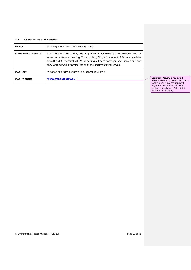#### <span id="page-9-0"></span>*2.3 Useful terms and websites*

| <b>PE Act</b>               | Planning and Environment Act 1987 (Vic)                                                                                                                                                                                                                                                                                         |                                                                     |
|-----------------------------|---------------------------------------------------------------------------------------------------------------------------------------------------------------------------------------------------------------------------------------------------------------------------------------------------------------------------------|---------------------------------------------------------------------|
| <b>Statement of Service</b> | From time to time you may need to prove that you have sent certain documents to<br>other parties to a proceeding. You do this by filing a Statement of Service (available<br>from the VCAT website) with VCAT setting out each party you have served and how<br>they were served, attaching copies of the documents you served. |                                                                     |
| <b>VCAT Act</b>             | Victorian and Administrative Tribunal Act 1998 (Vic)                                                                                                                                                                                                                                                                            |                                                                     |
| <b>VCAT website</b>         | www.vcat.vic.gov.au                                                                                                                                                                                                                                                                                                             | Comment [Admin1]: You could<br>make it so this hyperlink re-directs |

to the planning & environment page, but the address for that section is really long & I think it would look unwieldy.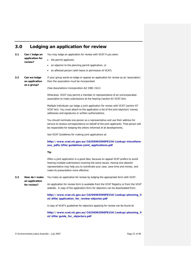## <span id="page-10-0"></span>**3.0 Lodging an application for review**

<span id="page-10-1"></span>

| 3.1 | Can I lodge an  |
|-----|-----------------|
|     | application for |
|     | review?         |

*as a group?*

You may lodge an application for review with VCAT if you were:

- the permit applicant;
- an objector to the planning permit application; or
- an affected person (with leave or permission of VCAT).

<span id="page-10-2"></span>*3.2 Can we lodge an application*  If your group wants to lodge or oppose an application for review as an 'association', then the association must be incorporated.

(See *Associations Incorporation Act 1981* (Vic))

Otherwise, VCAT may permit a member or representative of an unincorporated association to make submissions at the hearing (section 61 VCAT Act).

Multiple individuals can lodge a joint application for review with VCAT (section 67 VCAT Act). You must attach to the application a list of the joint objectors' names, addresses and signatures or written authorisations.

You should nominate one person as a representative and use their address for service to receive correspondence on behalf of the joint applicants. That person will be responsible for keeping the others informed of all developments.

See VCAT Guidelines for making joint applications at:

**[http://www.vcat.vic.gov.au/CA256902000FE154/Lookup/miscellane](http://www.vcat.vic.gov.au/CA256902000FE154/Lookup/miscellaneous_pdfs/$file/guidelines-joint_applications.pdf) [ous\\_pdfs/\\$file/guidelines-joint\\_applications.pdf](http://www.vcat.vic.gov.au/CA256902000FE154/Lookup/miscellaneous_pdfs/$file/guidelines-joint_applications.pdf)**

#### **Tip**

Often a joint application is a good idea, because on appeal VCAT prefers to avoid hearing multiple submissions covering the same issues. Having one objector representative may help you to coordinate your case, save time and money, and make its presentation more effective.

<span id="page-10-3"></span>*3.3 How do I make an application for review?* You make an application for review by lodging the appropriate form with VCAT. An application for review form is available from the VCAT Registry or from the VCAT website. A copy of the application form for objectors can be downloaded from: **[http://www.vcat.vic.gov.au/CA256902000FE154/Lookup/planning\\_li](http://www.vcat.vic.gov.au/CA256902000FE154/Lookup/planning_list/$file/application_for_review-objector.pdf)**

**[st/\\$file/application\\_for\\_review-objector.pdf](http://www.vcat.vic.gov.au/CA256902000FE154/Lookup/planning_list/$file/application_for_review-objector.pdf)**

A copy of VCAT's guidelines for objectors applying for review can be found at:

**[http://www.vcat.vic.gov.au/CA256902000FE154/Lookup/planning\\_li](http://www.vcat.vic.gov.au/CA256902000FE154/Lookup/planning_list/$file/guide_for_objectors.pdf) [st/\\$file/guide\\_for\\_objectors.pdf](http://www.vcat.vic.gov.au/CA256902000FE154/Lookup/planning_list/$file/guide_for_objectors.pdf)**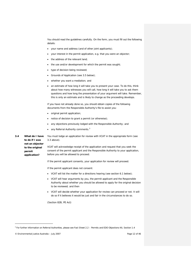You should read the guidelines carefully. On the form, you must fill out the following details:

- your name and address (and of other joint applicants);
- your interest in the permit application, e.g. that you were an objector;
- the address of the relevant land:
- the use and/or development for which the permit was sought;
- type of decision being reviewed;
- Grounds of Application (see [3.5](#page-12-0) below);
- whether you want a mediation; and
- an estimate of how long it will take you to present your case. To do this, think about how many witnesses you will call, how long it will take you to ask them questions and how long the presentation of your argument will take. Remember, this is only an estimate and is likely to change as the proceeding develops.

If you have not already done so, you should obtain copies of the following documents from the Responsible Authority's file to assist you:

- original permit application;
- notice of decision to grant a permit (or otherwise);
- any objections previously lodged with the Responsible Authority; and
- any Referral Authority comments.<sup>[3](#page-11-1)</sup>

<span id="page-11-0"></span>*3.4 What do I have to do if I was not an objector to the original permit application?*

You must lodge an application for review with VCAT in the appropriate form (see [3.3](#page-10-3) above).

VCAT will acknowledge receipt of the application and request that you seek the consent of the permit applicant and the Responsible Authority to your application, before you will be allowed to proceed.

If the permit applicant consents, your application for review will proceed.

If the permit applicant does not consent:

- VCAT will list the matter for a directions hearing (see sectio[n 6.1 below\)](#page-19-1);
- VCAT will hear arguments by you, the permit applicant and the Responsible Authority about whether you should be allowed to apply for the original decision to be reviewed; and then
- VCAT will decide whether your application for review can proceed or not. It will do so if it believes it would be just and fair in the circumstances to do so.

(Section 82B, PE Act)

i.

<sup>3</sup> For further information on Referral Authorities, please see Fact Sheet 2.2 – Permits and EDO Objections Kit, Section 1.4

<span id="page-11-1"></span><sup>©</sup> Environmental Justice Australia – July 2007 Page 12 of 46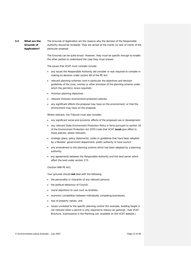#### <span id="page-12-0"></span>*3.5 What are the Grounds of Application?* The Grounds of Application are the reasons why the decision of the Responsible Authority should be reviewed. They are aimed at the merits (or lack of merit) of the particular proposal.

The Grounds can be quite broad. However, they must be specific enough to enable the other parties to understand the case they must answer.

The issues that VCAT must consider include:

- any issues the Responsible Authority did consider or was required to consider in making its decision under section 60 of the PE Act;
- relevant planning schemes (and in particular the objectives and decision guidelines of the zone, overlay or other provision of the planning scheme under which the permit(s) is/are required);
- Victorian planning objectives
- relevant Victorian environment protection policies;
- any significant effects the proposal may have on the environment, or that the environment may have on the proposal;

Where relevant, the Tribunal must also consider:

- any significant social and economic effects of the proposed use or development;
- any relevant State Environment Protection Policy in force pursuant to section 16 of the *Environment Protection Act 1970* (note that VCAT **must** give effect to these policies, where relevant);
- strategic plans, policy statements, codes or guidelines that have been adopted by a Minister, government department, public authority or local council;
- any amendment to the planning scheme which has been adopted by a planning authority;
- any agreements between the Responsible Authority and the land owner which affect the land under section 173.

#### (Section 84B PE Act)

Your grounds should **not** deal with the following:

- the personality or character of any relevant persons;
- the political behaviour of Council:
- moral objections to uses such as brothels;
- economic competition between individually competing businesses;
- loss of property values; and
- issues unrelated to the specific planning control (for example, building height is not relevant when a permit is only required to reduce car parking). (See VCAT Brochure, *Submissions in the Planning List*, available on the VCAT website.)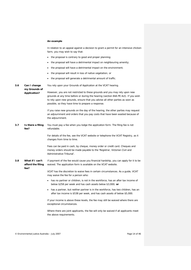#### **An example**

In relation to an appeal against a decision to grant a permit for an intensive chicken farm, you may wish to say that:

- the proposal is contrary to good and proper planning;
- the proposal will have a detrimental impact on neighbouring amenity;
- the proposal will have a detrimental impact on the environment;
- the proposal will result in loss of native vegetation; or
- the proposal will generate a detrimental amount of traffic.

<span id="page-13-2"></span><span id="page-13-1"></span><span id="page-13-0"></span>*3.6 Can I change my Grounds of Application?* You rely upon your Grounds of Application at the VCAT hearing. However, you are not restricted to these grounds and you may rely upon new grounds at any time before or during the hearing (section 84A PE Act). If you wish to rely upon new grounds, ensure that you advise all other parties as soon as possible, so they have time to prepare a response. If you raise new grounds on the day of the hearing, the other parties may request an adjournment and orders that you pay costs that have been wasted because of the adjournment. *3.7 Is there a filing fee?* You must pay a fee when you lodge the application form. The filing fee is not refundable. For details of the fee, see the VCAT website or telephone the VCAT Registry, as it changes from time to time. Fees can be paid in cash, by cheque, money order or credit card. Cheques and money orders should be made payable to the 'Registrar, Victorian Civil and Administrative Tribunal'. *3.8 What if I can't afford the filing fee?* If payment of the fee would cause you financial hardship, you can apply for it to be waived. The application form is available on the VCAT website. VCAT has the discretion to waive fees in certain circumstances. As a guide, VCAT may waive the fee for a person who: • has no partner or children, is not in the workforce, has an after tax income of below \$258 per week and has cash assets below \$3,000; **or** • has a partner, but neither partner is in the workforce, has two children, has an after tax income is \$538 per week, and has cash assets of below \$5,000. If your income is above these levels, the fee may still be waived where there are exceptional circumstances. Where there are joint applicants, the fee will only be waived if all applicants meet the above requirements.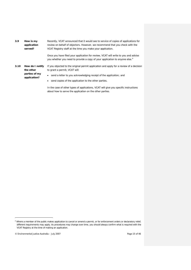<span id="page-14-0"></span>*3.9 How is my application served?* Recently, VCAT announced that it would see to service of copies of applications for review on behalf of objectors. However, we recommend that you check with the VCAT Registry staff at the time you make your application.

> Once you have filed your application for review, VCAT will write to you and advise you whether you need to provide a copy of your application to anyone else.<sup>[4](#page-14-2)</sup>

- <span id="page-14-1"></span>3.10 **How do I notify** If you objected to the original permit application and apply for a review of a decision *the other*  to grant a permit, VCAT will:
	- send a letter to you acknowledging receipt of the application; and
	- send copies of the application to the other parties.

In the case of other types of applications, VCAT will give you specific instructions about how to serve the application on the other parties.

i.

*parties of my application?*

<span id="page-14-2"></span><sup>4</sup> Where a member of the public makes application to cancel or amend a permit, or for enforcement orders or declaratory relief, different requirements may apply. As procedures may change over time, you should always confirm what is required with the VCAT Registry at the time of making an application.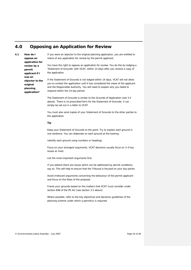### <span id="page-15-0"></span>**4.0 Opposing an Application for Review**

<span id="page-15-1"></span>*4.1 How do I oppose an application for review by a permit applicant if I was an objector to the original planning application?*

If you were an objector to the original planning application, you are entitled to notice of any application for review by the permit applicant.

You have the right to oppose an application for review. You do this by lodging a 'Statement of Grounds' with VCAT, within 14 days after you receive a copy of the application.

If the Statement of Grounds is not lodged within 14 days, VCAT will not allow you to contest the application until it has considered the views of the applicant and the Responsible Authority. You will need to explain why you failed to respond within the 14 day period.

The Statement of Grounds is similar to the Grounds of Application (see [3.5](#page-12-0)  [above\)](#page-12-0). There is no prescribed form for the Statement of Grounds; it can simply be set out in a letter to VCAT.

You must also send copies of your Statement of Grounds to the other parties to the application.

#### **Tip**

Keep your Statement of Grounds to the point. Try to explain each ground in one sentence. You can elaborate on each ground at the hearing.

Identify each ground using numbers or headings.

Focus on your strongest arguments. VCAT decisions usually focus on 3-4 key issues at most.

List the most important arguments first.

If you believe there are issues which can be addressed by permit conditions, say so. This will help to ensure that the Tribunal is focused on your key points.

Avoid irrelevant arguments concerning the behaviour of the permit applicant and focus on the flaws of the proposal.

Frame your grounds based on the matters that VCAT must consider under section 84B of the PE Act (see section 3.5 above).

Where possible, refer to the key objectives and decisions guidelines of the planning scheme under which a permit(s) is required.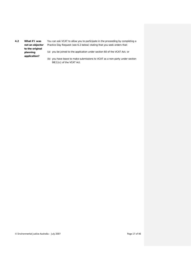<span id="page-16-0"></span>*4.2 What if I was to the original planning application?*

**not an objector** Practice Day Request (se[e 6.2 below\)](#page-19-2) stating that you seek orders that: You can ask VCAT to allow you to participate in the proceeding by completing a

(a) you be joined to the application under section 60 of the VCAT Act; or

(b) you have leave to make submissions to VCAT as a non-party under section 98(1)(c) of the VCAT Act.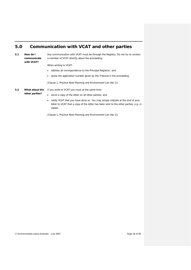## <span id="page-17-0"></span>**5.0 Communication with VCAT and other parties**

<span id="page-17-1"></span>*5.1 How do I communicate with VCAT?*

Any communication with VCAT must be through the Registry. Do not try to contact a member of VCAT directly about the proceeding.

When writing to VCAT:

- address all correspondence to the Principal Registrar; and
- quote the application number given by the Tribunal in the proceeding.

(Clause 1, *Practice Note Planning and Environment List (No 1)*)

<span id="page-17-2"></span>*5.2 What about the* 

*other parties?*

### If you write to VCAT you must at the same time:

- serve a copy of the letter on all other parties; and
- notify VCAT that you have done so. You may simply indicate at the end of your letter to VCAT that a copy of the letter has been sent to the other parties, e.g. cc copies.

(Clause 1, *Practice Note Planning and Environment List (No 1))*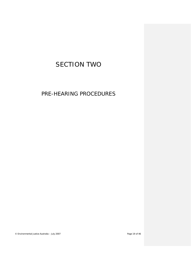# <span id="page-18-0"></span>SECTION TWO

PRE-HEARING PROCEDURES

© Environmental Justice Australia – July 2007 Page 19 of 46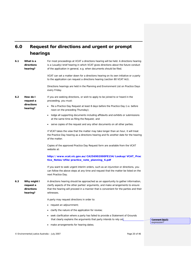# <span id="page-19-0"></span>**6.0 Request for directions and urgent or prompt hearings**

<span id="page-19-2"></span><span id="page-19-1"></span>

| 6.1 | What is a<br>directions<br>hearing?                | For most proceedings at VCAT a directions hearing will be held. A directions hearing<br>is a (usually) brief hearing in which VCAT gives directions about the future conduct<br>of the application in general, e.g. when documents should be filed.<br>VCAT can set a matter down for a directions hearing on its own initiative or a party<br>to the application can request a directions hearing (section 80 VCAT Act).<br>Directions hearings are held in the Planning and Environment List on Practice Days<br>every Friday. |  |
|-----|----------------------------------------------------|----------------------------------------------------------------------------------------------------------------------------------------------------------------------------------------------------------------------------------------------------------------------------------------------------------------------------------------------------------------------------------------------------------------------------------------------------------------------------------------------------------------------------------|--|
| 6.2 | How do I<br>request a                              | If you are seeking directions, or wish to apply to be joined to or heard in the<br>proceeding, you must:                                                                                                                                                                                                                                                                                                                                                                                                                         |  |
|     | directions<br>hearing?                             | file a Practice Day Request at least 8 days before the Practice Day (i.e. before<br>noon on the preceding Thursday);                                                                                                                                                                                                                                                                                                                                                                                                             |  |
|     |                                                    | lodge all supporting documents including affidavits and exhibits or submissions<br>at the same time as filing the Request; and                                                                                                                                                                                                                                                                                                                                                                                                   |  |
|     |                                                    | serve copies of the request and any other documents on all other parties.                                                                                                                                                                                                                                                                                                                                                                                                                                                        |  |
|     |                                                    | If VCAT takes the view that the matter may take longer than an hour, it will treat<br>the Practice Day hearing as a directions hearing and fix another date for the hearing<br>of the matter.                                                                                                                                                                                                                                                                                                                                    |  |
|     |                                                    | Copies of the approved Practice Day Request form are available from the VCAT<br>website at:                                                                                                                                                                                                                                                                                                                                                                                                                                      |  |
|     |                                                    | http://www.vcat.vic.gov.au/CA256902000FE154/Lookup/VCAT_Prac<br>tice_Notes/\$file/practice_note_planning_6.pdf                                                                                                                                                                                                                                                                                                                                                                                                                   |  |
|     |                                                    | If you want to seek urgent interim orders, such as an injunction or directions, you<br>can follow the above steps at any time and request that the matter be listed on the<br>next Practice Day.                                                                                                                                                                                                                                                                                                                                 |  |
| 6.3 | Why might I<br>request a<br>directions<br>hearing? | A directions hearing should be approached as an opportunity to gather information,<br>clarify aspects of the other parties' arguments, and make arrangements to ensure<br>that the hearing will proceed in a manner that is convenient for the parties and their<br>witnesses.                                                                                                                                                                                                                                                   |  |
|     |                                                    | A party may request directions in order to:                                                                                                                                                                                                                                                                                                                                                                                                                                                                                      |  |
|     |                                                    | request an adjournment;                                                                                                                                                                                                                                                                                                                                                                                                                                                                                                          |  |
|     |                                                    | clarify the nature of the application for review;                                                                                                                                                                                                                                                                                                                                                                                                                                                                                |  |
|     |                                                    | seek clarification where a party has failed to provide a Statement of Grounds<br>that clearly explains the arguments that party intends to rely on;                                                                                                                                                                                                                                                                                                                                                                              |  |
|     |                                                    | make arrangements for hearing dates;                                                                                                                                                                                                                                                                                                                                                                                                                                                                                             |  |

<span id="page-19-3"></span>© Environmental Justice Australia – July 2007 Page 20 of 46

**Comment [bjs2]:**  expression?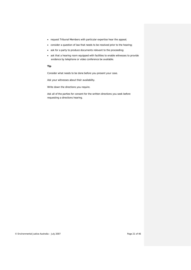- request Tribunal Members with particular expertise hear the appeal;
- consider a question of law that needs to be resolved prior to the hearing;
- ask for a party to produce documents relevant to the proceeding;
- ask that a hearing room equipped with facilities to enable witnesses to provide evidence by telephone or video conference be available.

#### **Tip**

Consider what needs to be done before you present your case.

Ask your witnesses about their availability.

Write down the directions you require.

Ask all of the parties for consent for the written directions you seek before requesting a directions hearing.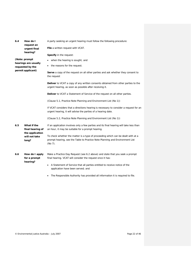<span id="page-21-2"></span><span id="page-21-1"></span><span id="page-21-0"></span>

| 6.4 | How do I<br>request an                             | A party seeking an urgent hearing must follow the following procedure:                                                                                                         |
|-----|----------------------------------------------------|--------------------------------------------------------------------------------------------------------------------------------------------------------------------------------|
|     | urgent final<br>hearing?                           | <b>File</b> a written request with VCAT.                                                                                                                                       |
|     |                                                    | <b>Specify</b> in the request:                                                                                                                                                 |
|     | (Note: prompt<br>hearings are usually              | when the hearing is sought; and                                                                                                                                                |
|     | requested by the                                   | the reasons for the request.                                                                                                                                                   |
|     | permit applicant)                                  | <b>Serve</b> a copy of the request on all other parties and ask whether they consent to<br>the request                                                                         |
|     |                                                    | <b>Deliver</b> to VCAT a copy of any written consents obtained from other parties to the<br>urgent hearing, as soon as possible after receiving it.                            |
|     |                                                    | <b>Deliver</b> to VCAT a Statement of Service of the request on all other parties.                                                                                             |
|     |                                                    | (Clause 5.1, Practice Note Planning and Environment List (No 1))                                                                                                               |
|     |                                                    | If VCAT considers that a directions hearing is necessary to consider a request for an<br>urgent hearing, it will advise the parties of a hearing date.                         |
|     |                                                    | (Clause 5.2, Practice Note Planning and Environment List (No 1))                                                                                                               |
| 6.5 | What if the<br>final hearing of<br>the application | If an application involves only a few parties and its final hearing will take less than<br>an hour, it may be suitable for a prompt hearing.                                   |
|     | will not take<br>long?                             | To check whether the matter is a type of proceeding which can be dealt with at a<br>prompt hearing, see the Table to Practice Note Planning and Environment List<br>$(No 7)$ . |
| 6.6 | How do I apply<br>for a prompt<br>hearing?         | Make a Practice Day Request (see 6.2 above) and state that you seek a prompt<br>final hearing. VCAT will consider the request once it has:                                     |
|     |                                                    | A Statement of Service that all parties entitled to receive notice of the<br>application have been served; and                                                                 |
|     |                                                    | The Responsible Authority has provided all information it is required to file.                                                                                                 |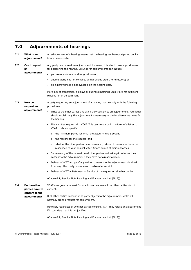### <span id="page-22-0"></span>**7.0 Adjournments of hearings**

<span id="page-22-1"></span>*7.1 What is an adjournment?* An adjournment of a hearing means that the hearing has been postponed until a future time or date.

<span id="page-22-2"></span>*7.2 Can I request an adjournment?* Any party can request an adjournment. However, it is vital to have a good reason for postponing the hearing. Grounds for adjournments can include:

- you are unable to attend for good reason;
- another party has not complied with previous orders for directions; or
- an expert witness is not available on the hearing date.

Mere lack of preparation, holidays or business meetings usually are not sufficient reasons for an adjournment.

<span id="page-22-3"></span>*7.3 How do I request an adjournment?* A party requesting an adjournment of a hearing must comply with the following procedures:

- Write to the other parties and ask if they consent to an adjournment. Your letter should explain why the adjournment is necessary and offer alternative times for the hearing.
- File a written request with VCAT. This can simply be in the form of a letter to VCAT. It should specify:
	- o the minimum period for which the adjournment is sought;
	- o the reasons for the request; and
	- o whether the other parties have consented, refused to consent or have not responded to your original letter. Attach copies of their responses.
- Serve a copy of the request on all other parties and ask again whether they consent to the adjournment, if they have not already agreed.
- Deliver to VCAT a copy of any written consents to the adjournment obtained from any other party, as soon as possible after receipt.
- Deliver to VCAT a Statement of Service of the request on all other parties.

(Clause 6.1, *Practice Note Planning and Environment List (No 1)*)

<span id="page-22-4"></span>*7.4 Do the other parties have to consent to the adjournment?* VCAT may grant a request for an adjournment even if the other parties do not consent. If all other parties consent or no party objects to the adjournment, VCAT will normally grant a request for adjournment.

However, regardless of whether parties consent, VCAT may refuse an adjournment if it considers that it is not justified.

(Clause 6.2, *Practice Note Planning and Environment List (No 1)*)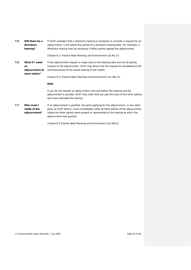<span id="page-23-2"></span><span id="page-23-1"></span><span id="page-23-0"></span>

| 7.5 | Will there be a<br>directions<br>hearing?               | If VCAT considers that a directions hearing is necessary to consider a request for an<br>adjournment, it will advise the parties of a directions hearing date. For example, a<br>directions hearing may be necessary if other parties oppose the adjournment. |
|-----|---------------------------------------------------------|---------------------------------------------------------------------------------------------------------------------------------------------------------------------------------------------------------------------------------------------------------------|
|     |                                                         | (Clause 6.3, Practice Note Planning and Environment List No 1))                                                                                                                                                                                               |
| 7.6 | What if I need<br>an<br>adjournment at<br>short notice? | If the adjournment request is made close to the hearing date and not all parties<br>consent to the adjournment, VCAT may direct that the request be considered at the<br>commencement of the actual hearing of the matter.                                    |
|     |                                                         | (Clause 6.4, Practice Note Planning and Environment List (No 1))                                                                                                                                                                                              |
|     |                                                         | <b>Note</b>                                                                                                                                                                                                                                                   |
|     |                                                         | If you do not request an adjournment until just before the hearing and the<br>adjournment is granted, VCAT may order that you pay the costs of the other parties<br>who have attended the hearing.                                                            |
| 7.7 | Who must I<br>notify of the                             | If an adjournment is granted, the party applying for the adjournment, or any other<br>party as VCAT directs, must immediately notify all other parties of the adjournment,                                                                                    |
|     | adjournment?                                            | unless the other parties were present or represented at the hearing at which the<br>adjournment was granted.                                                                                                                                                  |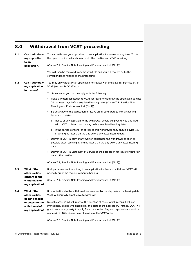# <span id="page-24-0"></span>**8.0 Withdrawal from VCAT proceeding**

<span id="page-24-2"></span><span id="page-24-1"></span>

| 8.1 | Can I withdraw<br>my opposition<br>to an                                                               | You can withdraw your opposition to an application for review at any time. To do<br>this, you must immediately inform all other parties and VCAT in writing.                                                                                                                                                               |
|-----|--------------------------------------------------------------------------------------------------------|----------------------------------------------------------------------------------------------------------------------------------------------------------------------------------------------------------------------------------------------------------------------------------------------------------------------------|
|     | application?                                                                                           | (Clause 7.2, Practice Note Planning and Environment List (No 1)).                                                                                                                                                                                                                                                          |
|     |                                                                                                        | You will then be removed from the VCAT file and you will receive no further<br>correspondence relating to the proceeding.                                                                                                                                                                                                  |
| 8.2 | <b>Can I withdraw</b><br>my application                                                                | You may only withdraw an application for review with the leave (or permission) of<br>VCAT (section 74 VCAT Act).                                                                                                                                                                                                           |
|     | for review?                                                                                            | To obtain leave, you must comply with the following:                                                                                                                                                                                                                                                                       |
|     |                                                                                                        | Make a written application to VCAT for leave to withdraw the application at least<br>٠<br>10 business days before any listed hearing date. (Clause 7.3, Practice Note<br>Planning and Environment List (No 1))                                                                                                             |
|     |                                                                                                        | Serve a copy of the application for leave on all other parties with a covering<br>letter which states:                                                                                                                                                                                                                     |
|     |                                                                                                        | notice of any objection to the withdrawal should be given to you and filed<br>$\circ$<br>with VCAT no later than the day before any listed hearing date.                                                                                                                                                                   |
|     |                                                                                                        | if the parties consent (or agree) to this withdrawal, they should advise you<br>$\circ$<br>in writing no later than the day before any listed hearing date.                                                                                                                                                                |
|     |                                                                                                        | Deliver to VCAT a copy of any written consent to the withdrawal as soon as<br>٠<br>possible after receiving it, and no later than the day before any listed hearing<br>date.                                                                                                                                               |
|     |                                                                                                        | Deliver to VCAT a Statement of Service of the application for leave to withdraw<br>on all other parties.                                                                                                                                                                                                                   |
|     |                                                                                                        | (Clause 7.1, Practice Note Planning and Environment List (No 1))                                                                                                                                                                                                                                                           |
| 8.3 | What if the<br>other parties                                                                           | If all parties consent in writing to an application for leave to withdraw, VCAT will<br>normally grant the request without a hearing.                                                                                                                                                                                      |
|     | consent to the<br>withdrawal of<br>my application?                                                     | (Clause 7.4, Practice Note Planning and Environment List (No 1))                                                                                                                                                                                                                                                           |
| 8.4 | What if the<br>other parties<br>do not consent<br>or object to the<br>withdrawal of<br>my application? | If no objections to the withdrawal are received by the day before the hearing date,<br>VCAT will normally grant leave to withdraw.                                                                                                                                                                                         |
|     |                                                                                                        | In such cases, VCAT will reserve the question of costs, which means it will not<br>immediately decide who should pay the costs of the application. Instead, VCAT will<br>grant leave to any party to apply for a costs order. Any such application should be<br>made within 10 business days of service of the VCAT order. |
|     |                                                                                                        | (Clause 7.5, Practice Note Planning and Environment List (No 1))                                                                                                                                                                                                                                                           |

<span id="page-24-4"></span><span id="page-24-3"></span>© Environmental Justice Australia – July 2007 Page 25 of 46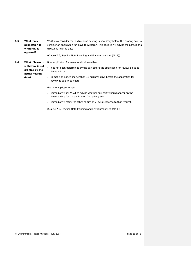<span id="page-25-0"></span>*8.5 What if my application to withdraw is opposed?*

VCAT may consider that a directions hearing is necessary before the hearing date to consider an application for leave to withdraw. If it does, it will advise the parties of a directions hearing date

(Clause 7.6, *Practice Note Planning and Environment List (No 1)*)

<span id="page-25-1"></span>*withdraw is not granted by the actual hearing date?*

*8.6 What if leave to*  If an application for leave to withdraw either:

- has not been determined by the day before the application for review is due to be heard; or
- is made on notice shorter than 10 business days before the application for review is due to be heard;

then the applicant must:

- immediately ask VCAT to advise whether any party should appear on the hearing date for the application for review; and
- immediately notify the other parties of VCAT's response to that request.

(Clause 7.7, *Practice Note Planning and Environment List (No 1)*)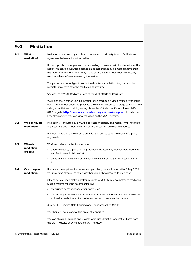## <span id="page-26-0"></span>**9.0 Mediation**

<span id="page-26-4"></span><span id="page-26-3"></span><span id="page-26-2"></span><span id="page-26-1"></span>

| 9. 1 | What is<br>mediation?       | Mediation is a process by which an independent third party tries to facilitate an<br>agreement between disputing parties.                                                                                                                                                                                                                                                                            |
|------|-----------------------------|------------------------------------------------------------------------------------------------------------------------------------------------------------------------------------------------------------------------------------------------------------------------------------------------------------------------------------------------------------------------------------------------------|
|      |                             | It is an opportunity for parties to a proceeding to resolve their dispute, without the<br>need for a hearing. Solutions agreed on at mediation may be more creative than<br>the types of orders that VCAT may make after a hearing. However, this usually<br>requires a level of compromise by the parties.                                                                                          |
|      |                             | The parties are not obliged to settle the dispute at mediation. Any party or the<br>mediator may terminate the mediation at any time.                                                                                                                                                                                                                                                                |
|      |                             | See generally <i>VCAT Mediation Code of Conduct</i> ( <b>Code of Conduct</b> ).                                                                                                                                                                                                                                                                                                                      |
|      |                             | VCAT and the Victorian Law Foundation have produced a video entitled 'Working it<br>out – through mediation'. To purchase a Mediation Resource Package containing the<br>video, a booklet and training notes, phone the Victoria Law Foundation on 9604<br>8100 or go to http://www.victorialaw.org.au/bookshop.asp to order on-<br>line. Alternatively, you can view the video on the VCAT website. |
| 9.2  | Who conducts<br>mediation?  | Mediation is conducted by a VCAT-appointed mediator. The mediator will not make<br>any decisions and is there only to facilitate discussion between the parties.                                                                                                                                                                                                                                     |
|      |                             | It is not the role of a mediator to provide legal advice as to the merits of a party's<br>arguments.                                                                                                                                                                                                                                                                                                 |
| 9.3  | <b>When is</b>              | VCAT can refer a matter for mediation:                                                                                                                                                                                                                                                                                                                                                               |
|      | mediation<br>ordered?       | upon request by a party to the proceeding (Clause 9.2, Practice Note Planning<br>٠<br>and Environment List (No 1)); or                                                                                                                                                                                                                                                                               |
|      |                             | on its own initiative, with or without the consent of the parties (section 88 VCAT<br>٠<br>Act).                                                                                                                                                                                                                                                                                                     |
| 9.4  | Can I request<br>mediation? | If you are the applicant for review and you filed your application after 1 July 2006,<br>you may have already indicated whether you wish to proceed to mediation.                                                                                                                                                                                                                                    |
|      |                             | Otherwise, you may make a written request to VCAT to refer a matter to mediation.<br>Such a request must be accompanied by:                                                                                                                                                                                                                                                                          |
|      |                             | the written consent of any other parties; or                                                                                                                                                                                                                                                                                                                                                         |
|      |                             | • if all other parties have not consented to the mediation, a statement of reasons<br>as to why mediation is likely to be successful in resolving the dispute.                                                                                                                                                                                                                                       |
|      |                             | (Clause 9.2, Practice Note Planning and Environment List (No 1))                                                                                                                                                                                                                                                                                                                                     |
|      |                             | You should serve a copy of this on all other parties.                                                                                                                                                                                                                                                                                                                                                |
|      |                             | You can obtain a Planning and Environment List Mediation Application Form from<br>the VCAT website or by contacting VCAT directly.                                                                                                                                                                                                                                                                   |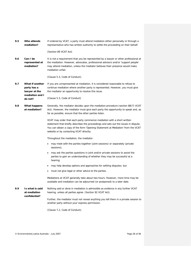<span id="page-27-3"></span><span id="page-27-2"></span><span id="page-27-1"></span><span id="page-27-0"></span>

| 9.5 | Who attends<br>mediation?                                          | If ordered by VCAT, a party must attend mediation either personally or through a<br>representative who has written authority to settle the proceeding on their behalf.                                                                                                                        |
|-----|--------------------------------------------------------------------|-----------------------------------------------------------------------------------------------------------------------------------------------------------------------------------------------------------------------------------------------------------------------------------------------|
|     |                                                                    | (Section 89 VCAT Act)                                                                                                                                                                                                                                                                         |
| 9.6 | Can I be<br>represented at<br>mediation?                           | It is not a requirement that you be represented by a lawyer or other professional at<br>the mediation. However, advocates, professional advisors and/or 'support people'<br>may attend mediation, unless the mediator believes their presence would make<br>mediation unfair.                 |
|     |                                                                    | (Clause 5.3, Code of Conduct).                                                                                                                                                                                                                                                                |
| 9.7 | What if another<br>party has a<br>lawyer at the<br>mediation and I | If you are unrepresented at mediation, it is considered reasonable to refuse to<br>continue mediation where another party is represented. However, you must give<br>the mediator an opportunity to resolve this issue.                                                                        |
|     | do not?                                                            | (Clause 5.3, Code of Conduct)                                                                                                                                                                                                                                                                 |
| 9.8 | What happens<br>at mediation?                                      | Generally, the mediator decides upon the mediation procedure (section 88(7) VCAT<br>Act). However, the mediator must give each party the opportunity to speak and, as<br>far as possible, ensure that the other parties listen.                                                               |
|     |                                                                    | VCAT may order that each party commence mediation with a short written<br>statement that briefly describes the proceedings and sets out the issues in dispute.<br>You can obtain a copy of the form 'Opening Statement at Mediation' from the VCAT<br>website or by contacting VCAT directly; |
|     |                                                                    | Throughout the mediation, the mediator:                                                                                                                                                                                                                                                       |
|     |                                                                    | may meet with the parties together (joint sessions) or separately (private<br>sessions);                                                                                                                                                                                                      |
|     |                                                                    | may ask the parties questions in joint and/or private sessions to assist the<br>parties to gain an understanding of whether they may be successful at a<br>hearing;                                                                                                                           |
|     |                                                                    | may help develop options and approaches for settling disputes; but                                                                                                                                                                                                                            |
|     |                                                                    | must not give legal or other advice to the parties.                                                                                                                                                                                                                                           |
|     |                                                                    | Mediations at VCAT generally take about two hours. However, more time may be<br>available and mediation can be adjourned (or postponed) to a later date.                                                                                                                                      |
| 9.9 | Is what is said<br>at mediation<br>confidential?                   | Nothing said or done in mediation is admissible as evidence in any further VCAT<br>hearing, unless all parties agree. (Section 92 VCAT Act).                                                                                                                                                  |
|     |                                                                    | Further, the mediator must not reveal anything you tell them in a private session to<br>another party without your express permission.                                                                                                                                                        |
|     |                                                                    | (Clause 7.2, Code of Conduct).                                                                                                                                                                                                                                                                |

<span id="page-27-4"></span>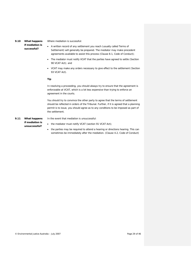<span id="page-28-0"></span>*9.10 What happens* 

*if mediation is successful?*

Where mediation is successful:

- A written record of any settlement you reach (usually called Terms of Settlement) will generally be prepared. The mediator may make precedent agreements available to assist this process (Clause 8.1, *Code of Conduct*);
- The mediator must notify VCAT that the parties have agreed to settle (Section 90 VCAT Act); and
- VCAT may make any orders necessary to give effect to the settlement (Section 93 VCAT Act).

#### **Tip**

In resolving a proceeding, you should always try to ensure that the agreement is enforceable at VCAT, which is a lot less expensive than trying to enforce an agreement in the courts.

You should try to convince the other party to agree that the terms of settlement should be reflected in orders of the Tribunal. Further, if it is agreed that a planning permit is to issue, you should agree as to any conditions to be imposed as part of the settlement.

<span id="page-28-1"></span>*9.11 What happens if mediation is unsuccessful?*

In the event that mediation is unsuccessful:

- the mediator must notify VCAT (section 91 VCAT Act);
- the parties may be required to attend a hearing or directions hearing. This can sometimes be immediately after the mediation. (Clause 4.2, *Code of Conduct*)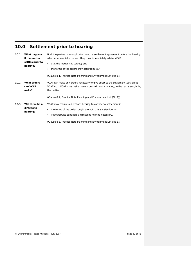# <span id="page-29-0"></span>**10.0 Settlement prior to hearing**

<span id="page-29-2"></span><span id="page-29-1"></span>

| 10.1 | What happens<br>if the matter<br>settles prior to<br>hearing? | If all the parties to an application reach a settlement agreement before the hearing,<br>whether at mediation or not, they must immediately advise VCAT:<br>that the matter has settled; and<br>the terms of the orders they seek from VCAT.<br>٠ |  |
|------|---------------------------------------------------------------|---------------------------------------------------------------------------------------------------------------------------------------------------------------------------------------------------------------------------------------------------|--|
|      |                                                               | (Clause 8.1, Practice Note Planning and Environment List (No 1))                                                                                                                                                                                  |  |
| 10.2 | <b>What orders</b><br>can VCAT<br>make?                       | VCAT can make any orders necessary to give effect to the settlement (section 93)<br>VCAT Act). VCAT may make these orders without a hearing, in the terms sought by<br>the parties.                                                               |  |
|      |                                                               | (Clause 8.2, Practice Note Planning and Environment List (No 1)).                                                                                                                                                                                 |  |
| 10.3 | Will there be a<br>directions<br>hearing?                     | VCAT may require a directions hearing to consider a settlement if:<br>the terms of the order sought are not to its satisfaction; or<br>٠<br>if it otherwise considers a directions hearing necessary.<br>٠                                        |  |

<span id="page-29-3"></span>(Clause 8.3, Practice Note *Planning and Environment List (No 1)*)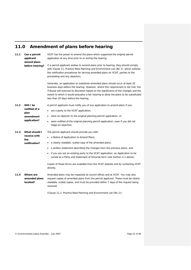# <span id="page-30-0"></span>**11.0 Amendment of plans before hearing**

<span id="page-30-4"></span><span id="page-30-3"></span><span id="page-30-2"></span><span id="page-30-1"></span>

| 11.1 | Can a permit<br>applicant<br>amend plans<br>before hearing? | VCAT has the power to amend the plans which supported the original permit<br>application at any time prior to or during the hearing.                                                                                                                                                                                                                                                             |
|------|-------------------------------------------------------------|--------------------------------------------------------------------------------------------------------------------------------------------------------------------------------------------------------------------------------------------------------------------------------------------------------------------------------------------------------------------------------------------------|
|      |                                                             | If a permit applicant wishes to amend plans prior to hearing, they should comply<br>with Clause 11, Practice Note Planning and Environment List (No 1), which outlines<br>the notification procedures for serving amended plans on VCAT, parties to the<br>proceeding and any objectors.                                                                                                         |
|      |                                                             | Generally, an application to substitute amended plans should occur at least 20<br>business days before the hearing. However, where this requirement is not met, the<br>Tribunal will exercise its discretion based on the significance of the changes and the<br>extent to which it would prejudice a fair hearing to allow the plans to be substituted<br>less than 20 days before the hearing. |
| 11.2 | Will I be<br>notified of a                                  | A permit applicant must notify you of any application to amend plans if you:<br>are a party to the VCAT application;<br>٠                                                                                                                                                                                                                                                                        |
|      | plan<br>amendment                                           | were an objector to the original planning permit application; or                                                                                                                                                                                                                                                                                                                                 |
|      | application?                                                | were notified of the original planning permit application, even if you did not<br>٠<br>lodge an objection.                                                                                                                                                                                                                                                                                       |
| 11.3 | What should I<br>receive with<br>the<br>notification?       | The permit applicant should provide you with:                                                                                                                                                                                                                                                                                                                                                    |
|      |                                                             | a Notice of Application to Amend Plans;<br>٠                                                                                                                                                                                                                                                                                                                                                     |
|      |                                                             | a clearly readable, scaled copy of the amended plans;                                                                                                                                                                                                                                                                                                                                            |
|      |                                                             | a written statement describing the changes from the previous plans; and                                                                                                                                                                                                                                                                                                                          |
|      |                                                             | if you are not an existing party to the VCAT application, an Application to be<br>Joined as a Party and Statement of Grounds form (see Section 4.1 above).                                                                                                                                                                                                                                       |
|      |                                                             | Copies of these forms are available from the VCAT website and by contacting VCAT<br>directly.                                                                                                                                                                                                                                                                                                    |
| 11.4 | Where are<br>amended plans<br>located?                      | Amended plans may be inspected at council offices and at VCAT. You may also<br>request copies of amended plans from the permit applicant. These must be clearly<br>readable, scaled copies, and must be provided within 7 days of the request being<br>received.                                                                                                                                 |
|      |                                                             | (Clause 11.2, Practice Note Planning and Environment List (No 1))                                                                                                                                                                                                                                                                                                                                |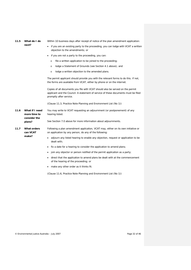<span id="page-31-0"></span>

| 11.5 | What do I do |
|------|--------------|
|      | next?        |

#### Within 10 business days after receipt of notice of the plan amendment application:

- if you are an existing party to the proceeding, you can lodge with VCAT a written objection to the amendments; or
- if you are not a party to the proceeding, you can:
	- o file a written application to be joined to the proceeding;
	- o lodge a Statement of Grounds (see Section [4.1 above\)](#page-15-1); and
	- o lodge a written objection to the amended plans.

The permit applicant should provide you with the relevant forms to do this. If not, the forms are available from VCAT, either by phone or on the internet.

Copies of all documents you file with VCAT should also be served on the permit applicant and the Council. A statement of service of these documents must be filed promptly after service.

(Clause 11.3, *Practice Note Planning and Environment List (No 1)*)

<span id="page-31-1"></span>*11.6 What if I need more time to consider the plans?* You may write to VCAT requesting an adjournment (or postponement) of any hearing listed. See Section [7.0 above](#page-22-0) for more information about adjournments.

<span id="page-31-2"></span>*11.7 What orders can VCAT make?*

Following a plan amendment application, VCAT may, either on its own initiative or on application by any person, do any of the following:

- adjourn any listed hearing to enable any objection, request or application to be dealt with;
- fix a date for a hearing to consider the application to amend plans;
- join any objector or person notified of the permit application as a party;
- direct that the application to amend plans be dealt with at the commencement of the hearing of the proceeding; or
- make any other order as it thinks fit.

(Clause 11.6, *Practice Note Planning and Environment List (No 1)*)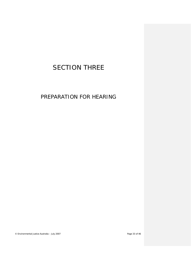# <span id="page-32-0"></span>SECTION THREE

PREPARATION FOR HEARING

© Environmental Justice Australia – July 2007 Page 33 of 46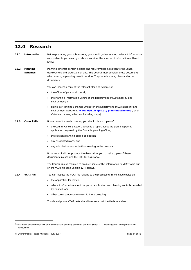## <span id="page-33-0"></span>**12.0 Research**

<span id="page-33-3"></span><span id="page-33-2"></span><span id="page-33-1"></span>

| 12.1 | <b>Introduction</b> | Before preparing your submissions, you should gather as much relevant information<br>as possible. In particular, you should consider the sources of information outlined<br>below.                                                                                     |
|------|---------------------|------------------------------------------------------------------------------------------------------------------------------------------------------------------------------------------------------------------------------------------------------------------------|
| 12.2 | Planning<br>Schemes | Planning schemes contain policies and requirements in relation to the usage,<br>development and protection of land. The Council must consider these documents<br>when making a planning permit decision. They include maps, plans and other<br>documents. <sup>5</sup> |
|      |                     | You can inspect a copy of the relevant planning scheme at:                                                                                                                                                                                                             |
|      |                     | the offices of your local council;                                                                                                                                                                                                                                     |
|      |                     | the Planning Information Centre at the Department of Sustainability and<br>Environment; or                                                                                                                                                                             |
|      |                     | online at 'Planning Schemes Online' on the Department of Sustainability and<br>Environment website at: www.dse.vic.gov.au/planningschemes (for all<br>Victorian planning schemes, including maps).                                                                     |
| 12.3 | <b>Council file</b> | If you haven't already done so, you should obtain copies of:                                                                                                                                                                                                           |
|      |                     | the Council Officer's Report, which is a report about the planning permit<br>application prepared by the Council's planning officer;                                                                                                                                   |
|      |                     | the relevant planning permit application;                                                                                                                                                                                                                              |
|      |                     | any associated plans; and                                                                                                                                                                                                                                              |
|      |                     | any submissions and objections relating to the proposal.                                                                                                                                                                                                               |
|      |                     | If the council will not produce the file or allow you to make copies of these<br>documents, please ring the EDO for assistance.                                                                                                                                        |
|      |                     | The Council is also required to produce some of this information to VCAT to be put<br>on the VCAT file (see Section 12.4 below).                                                                                                                                       |
| 12.4 | <b>VCAT file</b>    | You can inspect the VCAT file relating to the proceeding. It will have copies of:                                                                                                                                                                                      |
|      |                     | the application for review;                                                                                                                                                                                                                                            |
|      |                     | relevant information about the permit application and planning controls provided<br>by Council; and                                                                                                                                                                    |
|      |                     | other correspondence relevant to the proceeding.                                                                                                                                                                                                                       |
|      |                     | You should phone VCAT beforehand to ensure that the file is available.                                                                                                                                                                                                 |

<span id="page-33-5"></span>© Environmental Justice Australia – July 2007 Page 34 of 46

<span id="page-33-4"></span>j

<sup>5</sup> For a more detailed overview of the contents of planning schemes, see *Fact Sheet 2.1 – Planning and Development Law: Introduction.*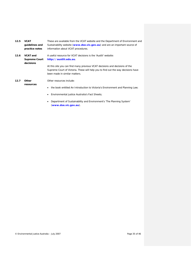<span id="page-34-1"></span><span id="page-34-0"></span>

| 12.5 | <b>VCAT</b><br>quidelines and<br>practice notes | These are available from the VCAT website and the Department of Environment and<br>Sustainability website (www.dse.vic.gov.au) and are an important source of<br>information about VCAT procedures. |
|------|-------------------------------------------------|-----------------------------------------------------------------------------------------------------------------------------------------------------------------------------------------------------|
| 12.6 | VCAT and                                        | A useful resource for VCAT decisions is the 'Austlii' website:                                                                                                                                      |
|      | <b>Supreme Court</b><br>decisions               | http://austlii.edu.au                                                                                                                                                                               |
|      |                                                 | At this site you can find many previous VCAT decisions and decisions of the                                                                                                                         |
|      |                                                 | Supreme Court of Victoria. These will help you to find out the way decisions have                                                                                                                   |
|      |                                                 | been made in similar matters.                                                                                                                                                                       |
| 12.7 | <b>Other</b>                                    | Other resources include:                                                                                                                                                                            |
|      | resources                                       | the book entitled An Introduction to Victoria's Environment and Planning Law,<br>٠                                                                                                                  |

- <span id="page-34-2"></span>• Environmental justice Australia's Fact Sheets;
- Department of Sustainability and Environment's '*The Planning System*' (**[www.dse.vic.gov.au](http://www.dse.vic.gov.au/)**).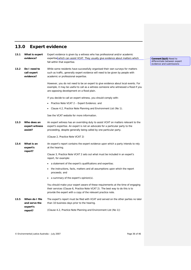# <span id="page-35-0"></span>**13.0 Expert evidence**

<span id="page-35-5"></span><span id="page-35-4"></span><span id="page-35-3"></span><span id="page-35-2"></span><span id="page-35-1"></span>

| 13.1 | What is expert<br>evidence?              | Expert evidence is given by a witness who has professional and/or academic<br>expertise which can assist VCAT. They usually give evidence about matters which                                                                               |  |
|------|------------------------------------------|---------------------------------------------------------------------------------------------------------------------------------------------------------------------------------------------------------------------------------------------|--|
|      |                                          | fall within that expertise.                                                                                                                                                                                                                 |  |
| 13.2 | Do I need to<br>call expert<br>evidence? | While some residents have successfully organised their own surveys for matters<br>such as traffic, generally expert evidence will need to be given by people with<br>academic or professional expertise.                                    |  |
|      |                                          | However, you do not need to be an expert to give evidence about local events. For<br>example, it may be useful to call as a witness someone who witnessed a flood if you<br>are opposing development on a flood plain.                      |  |
|      |                                          | If you decide to call an expert witness, you should comply with:                                                                                                                                                                            |  |
|      |                                          | Practice Note VCAT 2 – Expert Evidence; and                                                                                                                                                                                                 |  |
|      |                                          | • Clause 4.2, Practice Note Planning and Environment List (No 1).                                                                                                                                                                           |  |
|      |                                          | See the VCAT website for more information.                                                                                                                                                                                                  |  |
| 13.3 | Who does an<br>expert witness<br>assist? | An expert witness has an overriding duty to assist VCAT on matters relevant to the<br>expert's expertise. An expert is not an advocate for a particular party to the<br>proceeding, despite generally being called by one particular party. |  |
|      |                                          | (Clause 2, Practice Note VCAT 2)                                                                                                                                                                                                            |  |
| 13.4 | What is an<br>expert's                   | An expert's report contains the expert evidence upon which a party intends to rely<br>at the hearing.                                                                                                                                       |  |
|      | report?                                  | Clause 3, Practice Note VCAT 2 sets out what must be included in an expert's<br>report, for example:                                                                                                                                        |  |
|      |                                          | a statement of the expert's qualifications and expertise;                                                                                                                                                                                   |  |
|      |                                          | the instructions, facts, matters and all assumptions upon which the report<br>proceeds; and                                                                                                                                                 |  |
|      |                                          | a summary of the expert's opinion(s).                                                                                                                                                                                                       |  |
|      |                                          | You should make your expert aware of these requirements at the time of engaging<br>their services (Clause 6, Practice Note VCAT 2). The best way to do this is to<br>provide the expert with a copy of the relevant practice note.          |  |
| 13.5 | When do I file<br>and serve the          | The expert's report must be filed with VCAT and served on the other parties no later<br>than 10 business days prior to the hearing.                                                                                                         |  |
|      | expert's<br>report?                      | (Clause 4.2, Practice Note Planning and Environment List (No 1))                                                                                                                                                                            |  |

**Comment [bjs3]:** Need to differentiate between expert evidence and submissions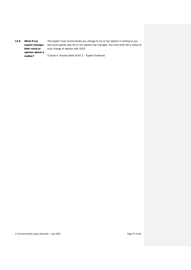<span id="page-36-0"></span>*13.6 What if my expert changes their mind or opinion about a matter?* The expert must communicate any change to his or her opinion in writing to you and must specify why his or her opinion has changed. You must then file a notice of such change of opinion with VCAT. (Clause 4, *Practice Note VCAT 2 – Expert Evidence*)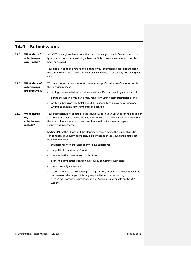## <span id="page-37-0"></span>**14.0 Submissions**

<span id="page-37-3"></span><span id="page-37-2"></span><span id="page-37-1"></span>

| 14.1 | What kind of<br>submissions<br>can I make?     | As VCAT hearings are less formal than court hearings, there is flexibility as to the<br>type of submissions made during a hearing. Submissions may be oral, or written;<br>brief, or detailed.<br>Your decision as to the nature and extent of your submissions may depend upon<br>the complexity of the matter and your own confidence in effectively presenting your<br>case.                                                                                                                                                                                                                                                                                                                                                                                                                                                                                                                                                                                                               |
|------|------------------------------------------------|-----------------------------------------------------------------------------------------------------------------------------------------------------------------------------------------------------------------------------------------------------------------------------------------------------------------------------------------------------------------------------------------------------------------------------------------------------------------------------------------------------------------------------------------------------------------------------------------------------------------------------------------------------------------------------------------------------------------------------------------------------------------------------------------------------------------------------------------------------------------------------------------------------------------------------------------------------------------------------------------------|
| 14.2 | What kinds of<br>submissions<br>are preferred? | Written submissions are the most common and preferred form of submissions for<br>the following reasons:<br>writing your submissions will allow you to clarify your case in your own mind;<br>٠<br>during the hearing, you can simply read from your written submissions; and<br>written submissions are helpful to VCAT, especially as it may be making and<br>writing its decision some time after the hearing.                                                                                                                                                                                                                                                                                                                                                                                                                                                                                                                                                                              |
| 14.3 | What should<br>my<br>submissions<br>include?   | Your submission is not limited to the issues raised in your Grounds for Application or<br>Statement of Grounds. However, you must ensure that all other parties involved in<br>the application are advised of any new issue in time for them to prepare<br>submissions in response.<br>Section 84B of the PE Act and the planning schemes define the issues that VCAT<br>can consider. Your submissions should be limited to these issues and should not<br>deal with the following:<br>the personality or character of any relevant persons;<br>the political behaviour of Council;<br>moral objections to uses such as brothels;<br>economic competition between individually competing businesses;<br>loss of property values; and<br>issues unrelated to the specific planning control (for example, building height is<br>not relevant when a permit is only required to reduce car parking).<br>(See VCAT Brochure, Submissions in the Planning List available on the VCAT<br>website). |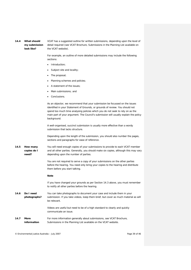#### <span id="page-38-0"></span>*14.4 What should my submission look like?* VCAT has a suggested outline for written submissions, depending upon the level of detail required (see VCAT Brochure, *Submissions in the Planning List* available on the VCAT website).

For example, an outline of more detailed submissions may include the following sections:

- Introduction:
- Subject site and locality;
- The proposal;
- Planning schemes and policies;
- A statement of the issues;
- Main submissions; and
- Conclusions.

As an objector, we recommend that your submission be focussed on the issues identified in your Statement of Grounds, or grounds of review. You should not spend too much time analysing policies which you do not seek to rely on as the main part of your argument. The Council's submission will usually explain the policy background.

A well-organised, succinct submission is usually more effective than a wordy submission that lacks structure.

Depending upon the length of the submission, you should also number the pages, sections and paragraphs for ease of reference.

<span id="page-38-1"></span>*14.5 How many copies do I need?* You will need enough copies of your submissions to provide to each VCAT member and all other parties. Generally, you should make six copies, although this may vary depending upon the number of parties.

> You are not required to serve a copy of your submissions on the other parties before the hearing. You need only bring your copies to the hearing and distribute them before you start talking.

#### **Note**

If you have changed your grounds as per Section [14.3 above,](#page-37-3) you must remember to notify all other parties before the hearing.

<span id="page-38-2"></span>*14.6 Do I need photographs?* You can take photographs to document your case and include them in your submission. If you take videos, keep them brief, but cover as much material as will be relevant.

> Videos are useful but need to be of a high standard to clearly and quickly communicate an issue.

#### <span id="page-38-3"></span>*14.7 More information* For more information generally about submissions, see VCAT Brochure, *Submissions in the Planning List* available on the VCAT website.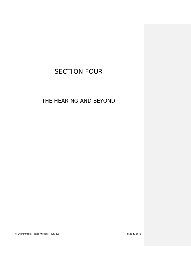# <span id="page-39-0"></span>SECTION FOUR

# THE HEARING AND BEYOND

© Environmental Justice Australia – July 2007 Page 40 of 46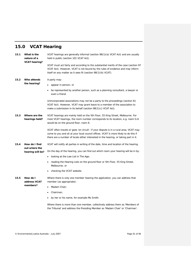# <span id="page-40-0"></span>**15.0 VCAT Hearing**

<span id="page-40-5"></span><span id="page-40-4"></span><span id="page-40-3"></span><span id="page-40-2"></span><span id="page-40-1"></span>

| 15.1 | What is the<br>nature of a<br><b>VCAT hearing?</b> | VCAT hearings are generally informal (section 98(1)(a) VCAT Act) and are usually<br>held in public (section 101 VCAT Act).                                                                                                                                            |
|------|----------------------------------------------------|-----------------------------------------------------------------------------------------------------------------------------------------------------------------------------------------------------------------------------------------------------------------------|
|      |                                                    | VCAT must act fairly and according to the substantial merits of the case (section 97<br>VCAT Act). However, VCAT is not bound by the rules of evidence and may inform<br>itself on any matter as it sees fit (section 98(1)(b) VCAT).                                 |
| 15.2 | Who attends                                        | A party may:                                                                                                                                                                                                                                                          |
|      | the hearing?                                       | appear in person; or                                                                                                                                                                                                                                                  |
|      |                                                    | be represented by another person, such as a planning consultant, a lawyer or<br>even a friend.                                                                                                                                                                        |
|      |                                                    | Unincorporated associations may not be a party to the proceedings (section 61)<br>VCAT Act). However, VCAT may grant leave to a member of the association to<br>make a submission in its behalf (section $98(1)(c)$ VCAT Act).                                        |
| 15.3 | Where are the<br>hearings held?                    | VCAT hearings are mainly held on the 5th Floor, 55 King Street, Melbourne. For<br>most VCAT hearings, the room number corresponds to its location, e.g. room G.6<br>would be on the ground floor, room 6.                                                             |
|      |                                                    | VCAT often travels or goes 'on circuit'. If your dispute is in a rural area, VCAT may<br>come to you and sit at your local council offices. VCAT is more likely to do this if<br>there are a number of locals either interested in the hearing, or taking part in it. |
| 15.4 | How do I find                                      | VCAT will notify all parties in writing of the date, time and location of the hearing.                                                                                                                                                                                |
|      | out where the<br>hearing will be?                  | On the day of the hearing, you can find out which room your hearing will be in by:                                                                                                                                                                                    |
|      |                                                    | looking at the Law List in The Age;                                                                                                                                                                                                                                   |
|      |                                                    | reading the Hearing Lists on the ground floor or 5th Floor, 55 King Street,<br>Melbourne: or                                                                                                                                                                          |
|      |                                                    | checking the VCAT website.                                                                                                                                                                                                                                            |
| 15.5 | How do I<br>address VCAT<br>members?               | Where there is only one member hearing the application, you can address that<br>member (as appropriate):                                                                                                                                                              |
|      |                                                    | Madam Chair:                                                                                                                                                                                                                                                          |
|      |                                                    | Chairman;                                                                                                                                                                                                                                                             |
|      |                                                    | by her or his name, for example Ms Smith.                                                                                                                                                                                                                             |
|      |                                                    | Where there is more than one member, collectively address them as 'Members of<br>the Tribunal' and address the Presiding Member as 'Madam Chair' or 'Chairman'.                                                                                                       |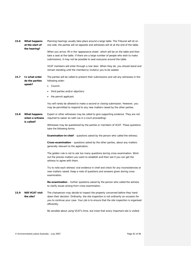<span id="page-41-2"></span><span id="page-41-1"></span><span id="page-41-0"></span>

| 15.6 | What happens<br>at the start of<br>the hearing? | Planning hearings usually take place around a large table. The Tribunal will sit on<br>one side, the parties will sit opposite and witnesses will sit at the end of the table.<br>When you arrive, fill in the 'appearance sheet', which will be on the table and then<br>take a seat at the table. If there are a large number of people who wish to make<br>submissions, it may not be possible to seat everyone around the table.<br>VCAT members will enter through a rear door. When they do, you should stand and<br>remain standing until the member(s) invite(s) you to be seated.                                                                                                                                                                                                                                                                                                                                                                                                                         |
|------|-------------------------------------------------|--------------------------------------------------------------------------------------------------------------------------------------------------------------------------------------------------------------------------------------------------------------------------------------------------------------------------------------------------------------------------------------------------------------------------------------------------------------------------------------------------------------------------------------------------------------------------------------------------------------------------------------------------------------------------------------------------------------------------------------------------------------------------------------------------------------------------------------------------------------------------------------------------------------------------------------------------------------------------------------------------------------------|
| 15.7 | In what order<br>do the parties<br>speak?       | The parties will be called to present their submissions and call any witnesses in the<br>following order:<br>Council:<br>٠<br>third parties and/or objectors;<br>the permit applicant.<br>٠<br>You will rarely be allowed to make a second or closing submission. However, you<br>may be permitted to respond to any new matters raised by the other parties.                                                                                                                                                                                                                                                                                                                                                                                                                                                                                                                                                                                                                                                      |
| 15.8 | What happens<br>when a witness<br>is called?    | Expert or other witnesses may be called to give supporting evidence. They are not<br>required to swear an oath (as in a court proceeding).<br>Witnesses may be questioned by the parties or members of VCAT. These questions<br>take the following forms:<br><b>Examination-in-chief</b> – questions asked by the person who called the witness;<br><b>Cross-examination</b> – questions asked by the other parties, about any matters<br>generally relevant to the application;<br>The golden rule is not to ask too many questions during cross-examination. Work<br>out the precise matters you want to establish and then see if you can get the<br>witness to agree with them.<br>Try to note each witness' oral evidence in chief and check for any inconsistencies or<br>new matters raised. Keep a note of questions and answers given during cross-<br>examination.<br>Re-examination - further questions asked by the person who called the witness<br>to clarify issues arising from cross-examination. |
| 15.9 | <b>Will VCAT visit</b><br>the site?             | The chairperson may decide to inspect the property concerned before they hand<br>down their decision. Ordinarily, the site inspection is not ordinarily an occasion for<br>you to continue your case. Your job is to ensure that the site inspection is organised<br>efficiently.<br>Be sensible about using VCAT's time, but insist that every important site is visited.                                                                                                                                                                                                                                                                                                                                                                                                                                                                                                                                                                                                                                         |

<span id="page-41-3"></span>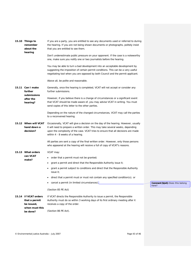<span id="page-42-4"></span><span id="page-42-3"></span><span id="page-42-2"></span><span id="page-42-1"></span><span id="page-42-0"></span>

| 15.10 Things to<br>remember<br>about the<br>hearing                               | If you are a party, you are entitled to see any documents used or referred to during<br>the hearing. If you are not being shown documents or photographs, politely insist<br>that you are entitled to see them.<br>Don't underestimate public pressure on your opponent. If the case is a noteworthy<br>one, make sure you notify one or two journalists before the hearing.<br>You may be able to turn a bad development into an acceptable development by<br>suggesting the imposition of certain permit conditions. This can be a very useful<br>negotiating tool when you are opposed by both Council and the permit applicant. |                                  |
|-----------------------------------------------------------------------------------|-------------------------------------------------------------------------------------------------------------------------------------------------------------------------------------------------------------------------------------------------------------------------------------------------------------------------------------------------------------------------------------------------------------------------------------------------------------------------------------------------------------------------------------------------------------------------------------------------------------------------------------|----------------------------------|
| 15.11 Can I make<br>further<br>submissions<br>after the<br>hearing?               | Above all, be polite and reasonable.<br>Generally, once the hearing is completed, VCAT will not accept or consider any<br>further submissions.<br>However, if you believe there is a change of circumstances or a significant event<br>that VCAT should be made aware of, you may advise VCAT in writing. You must<br>send copies of this letter to the other parties.<br>Depending on the nature of the changed circumstances, VCAT may call the parties                                                                                                                                                                           |                                  |
|                                                                                   | to a reconvened hearing.                                                                                                                                                                                                                                                                                                                                                                                                                                                                                                                                                                                                            |                                  |
| 15.12 When will VCAT<br>hand down a<br>decision?                                  | Occasionally, VCAT will give a decision on the day of the hearing. However, usually<br>it will need to prepare a written order. This may take several weeks, depending<br>upon the complexity of the case. VCAT tries to ensure that all decisions are made<br>within 4 - 8 weeks of a hearing.                                                                                                                                                                                                                                                                                                                                     |                                  |
|                                                                                   | All parties are sent a copy of the final written order. However, only those persons<br>who appeared at the hearing will receive a full of copy of VCAT's reasons.                                                                                                                                                                                                                                                                                                                                                                                                                                                                   |                                  |
| 15.13 What orders<br>can VCAT                                                     | VCAT may:                                                                                                                                                                                                                                                                                                                                                                                                                                                                                                                                                                                                                           |                                  |
| make?                                                                             | order that a permit must not be granted;                                                                                                                                                                                                                                                                                                                                                                                                                                                                                                                                                                                            |                                  |
|                                                                                   | grant a permit and direct that the Responsible Authority issue it;<br>٠                                                                                                                                                                                                                                                                                                                                                                                                                                                                                                                                                             |                                  |
|                                                                                   | grant a permit subject to conditions and direct that the Responsible Authority<br>issue it;                                                                                                                                                                                                                                                                                                                                                                                                                                                                                                                                         |                                  |
|                                                                                   | direct that a permit must or must not contain any specified condition(s); or                                                                                                                                                                                                                                                                                                                                                                                                                                                                                                                                                        |                                  |
|                                                                                   | cancel a permit (in limited circumstances).                                                                                                                                                                                                                                                                                                                                                                                                                                                                                                                                                                                         | Comment [bjs4]: Does this belong |
|                                                                                   | (Section 85 PE Act)                                                                                                                                                                                                                                                                                                                                                                                                                                                                                                                                                                                                                 | here?                            |
| 15.14 If VCAT orders<br>that a permit<br>be issued,<br>when must this<br>be done? | If VCAT directs the Responsible Authority to issue a permit, the Responsible<br>Authority must do so within 3 working days of its first ordinary meeting after it<br>receives a copy of the order.<br>(Section 86 PE Act).                                                                                                                                                                                                                                                                                                                                                                                                          |                                  |
|                                                                                   |                                                                                                                                                                                                                                                                                                                                                                                                                                                                                                                                                                                                                                     |                                  |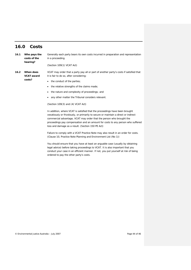### <span id="page-43-0"></span>**16.0 Costs**

<span id="page-43-2"></span><span id="page-43-1"></span>*16.1 Who pays the costs of the hearing?* Generally each party bears its own costs incurred in preparation and representation in a proceeding. (Section 109(1) VCAT Act) *16.2 When does VCAT award costs?* VCAT may order that a party pay all or part of another party's costs if satisfied that it is fair to do so, after considering: • the conduct of the parties; • the relative strengths of the claims made; • the nature and complexity of proceedings; and

• any other matter the Tribunal considers relevant.

#### (Section 109(3) and (4) VCAT Act)

In addition, where VCAT is satisfied that the proceedings have been brought vexatiously or frivolously, or primarily to secure or maintain a direct or indirect commercial advantage, VCAT may order that the person who brought the proceedings pay compensation and an amount for costs to any person who suffered loss and damage as a result. (Section 150 PE Act)

Failure to comply with a VCAT Practice Note may also result in an order for costs. (Clause 10, *Practice Note Planning and Environment List (No 1)*)

You should ensure that you have at least an arguable case (usually by obtaining legal advice) before taking proceedings to VCAT. It is also important that you conduct your case in an efficient manner. If not, you put yourself at risk of being ordered to pay the other party's costs.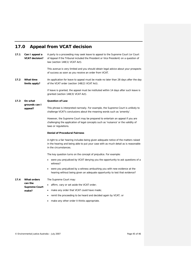# <span id="page-44-0"></span>**17.0 Appeal from VCAT decision**

<span id="page-44-4"></span><span id="page-44-3"></span><span id="page-44-2"></span><span id="page-44-1"></span>

| 17.1            | Can I appeal a<br><b>VCAT</b> decision? | A party to a proceeding may seek leave to appeal to the Supreme Court (or Court<br>of Appeal if the Tribunal included the President or Vice President) on a question of<br>law (section 148(1) VCAT Act). |  |
|-----------------|-----------------------------------------|-----------------------------------------------------------------------------------------------------------------------------------------------------------------------------------------------------------|--|
|                 |                                         | This avenue is very limited and you should obtain legal advice about your prospects<br>of success as soon as you receive an order from VCAT.                                                              |  |
| 17.2            | What time<br>limits apply?              | An application for leave to appeal must be made no later than 28 days after the day<br>of the VCAT order (section 148(2) VCAT Act).                                                                       |  |
|                 |                                         | If leave is granted, the appeal must be instituted within 14 days after such leave is<br>granted (section 148(3) VCAT Act).                                                                               |  |
| 17.3<br>On what |                                         | <b>Question of Law</b>                                                                                                                                                                                    |  |
|                 | grounds can I<br>appeal?                | This phrase is interpreted narrowly. For example, the Supreme Court is unlikely to<br>challenge VCAT's conclusions about the meaning words such as 'amenity'.                                             |  |
|                 |                                         | However, the Supreme Court may be prepared to entertain an appeal if you are<br>challenging the application of legal concepts such as 'nuisance' or the validity of<br>laws or regulations.               |  |
|                 |                                         | <b>Denial of Procedural Fairness</b>                                                                                                                                                                      |  |
|                 |                                         | A right to a fair hearing includes being given adequate notice of the matters raised<br>in the hearing and being able to put your case with as much detail as is reasonable<br>in the circumstances.      |  |
|                 |                                         | The key question turns on the concept of prejudice. For example:                                                                                                                                          |  |
|                 |                                         | • were you prejudiced by VCAT denying you the opportunity to ask questions of a<br>witness?                                                                                                               |  |
|                 |                                         | were you prejudiced by a witness ambushing you with new evidence at the<br>hearing without being given an adequate opportunity to test that evidence?                                                     |  |
| 17.4            | What orders                             | The Supreme Court may:                                                                                                                                                                                    |  |
|                 | can the<br><b>Supreme Court</b>         | affirm, vary or set aside the VCAT order;                                                                                                                                                                 |  |
|                 | make?                                   | make any order that VCAT could have made;                                                                                                                                                                 |  |
|                 |                                         | remit the proceeding to be heard and decided again by VCAT; or                                                                                                                                            |  |
|                 |                                         | make any other order it thinks appropriate.<br>$\bullet$                                                                                                                                                  |  |